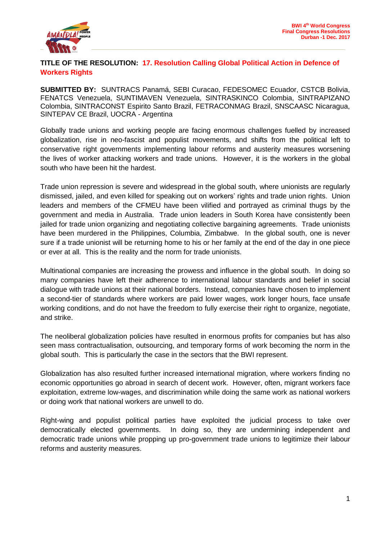

## **TITLE OF THE RESOLUTION: 17. Resolution Calling Global Political Action in Defence of Workers Rights**

**SUBMITTED BY:** SUNTRACS Panamá, SEBI Curacao, FEDESOMEC Ecuador, CSTCB Bolivia, FENATCS Venezuela, SUNTIMAVEN Venezuela, SINTRASKINCO Colombia, SINTRAPIZANO Colombia, SINTRACONST Espirito Santo Brazil, FETRACONMAG Brazil, SNSCAASC Nicaragua, SINTEPAV CE Brazil, UOCRA - Argentina

Globally trade unions and working people are facing enormous challenges fuelled by increased globalization, rise in neo-fascist and populist movements, and shifts from the political left to conservative right governments implementing labour reforms and austerity measures worsening the lives of worker attacking workers and trade unions. However, it is the workers in the global south who have been hit the hardest.

Trade union repression is severe and widespread in the global south, where unionists are regularly dismissed, jailed, and even killed for speaking out on workers' rights and trade union rights. Union leaders and members of the CFMEU have been vilified and portrayed as criminal thugs by the government and media in Australia. Trade union leaders in South Korea have consistently been jailed for trade union organizing and negotiating collective bargaining agreements. Trade unionists have been murdered in the Philippines, Columbia, Zimbabwe. In the global south, one is never sure if a trade unionist will be returning home to his or her family at the end of the day in one piece or ever at all. This is the reality and the norm for trade unionists.

Multinational companies are increasing the prowess and influence in the global south. In doing so many companies have left their adherence to international labour standards and belief in social dialogue with trade unions at their national borders. Instead, companies have chosen to implement a second-tier of standards where workers are paid lower wages, work longer hours, face unsafe working conditions, and do not have the freedom to fully exercise their right to organize, negotiate, and strike.

The neoliberal globalization policies have resulted in enormous profits for companies but has also seen mass contractualisation, outsourcing, and temporary forms of work becoming the norm in the global south. This is particularly the case in the sectors that the BWI represent.

Globalization has also resulted further increased international migration, where workers finding no economic opportunities go abroad in search of decent work. However, often, migrant workers face exploitation, extreme low-wages, and discrimination while doing the same work as national workers or doing work that national workers are unwell to do.

Right-wing and populist political parties have exploited the judicial process to take over democratically elected governments. In doing so, they are undermining independent and democratic trade unions while propping up pro-government trade unions to legitimize their labour reforms and austerity measures.